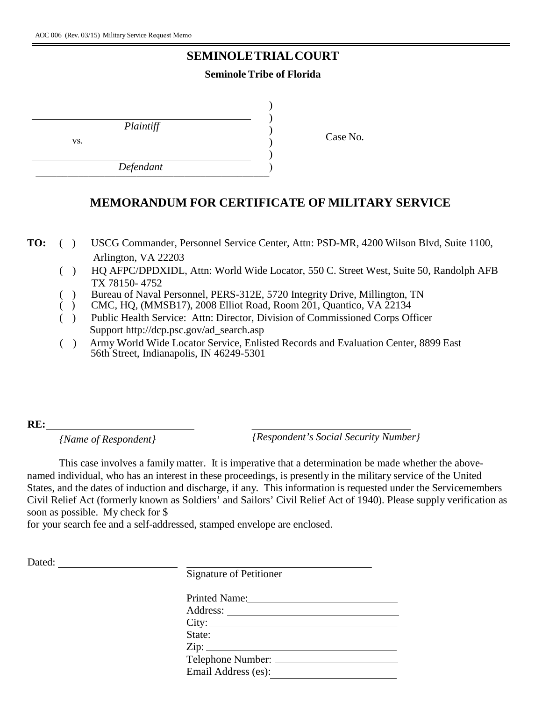## **SEMINOLE TRIALCOURT**

## **Seminole Tribe of Florida**

) )

*Plaintiff*

vs.

*Defendant*  $D$  e jenuum ) Case No. )

## **MEMORANDUM FOR CERTIFICATE OF MILITARY SERVICE**

) )

**TO:** ( ) USCG Commander, Personnel Service Center, Attn: PSD-MR, 4200 Wilson Blvd, Suite 1100, Arlington, VA 22203

- ( ) HQ AFPC/DPDXIDL, Attn: World Wide Locator, 550 C. Street West, Suite 50, Randolph AFB TX 78150- 4752
- ( ) Bureau of Naval Personnel, PERS-312E, 5720 Integrity Drive, Millington, TN
- ( ) CMC, HQ, (MMSB17), 2008 Elliot Road, Room 201, Quantico, VA 22134
- ( ) Public Health Service: Attn: Director, Division of Commissioned Corps Officer Support http://dcp.psc.gov/ad\_search.asp
- ( ) Army World Wide Locator Service, Enlisted Records and Evaluation Center, 8899 East 56th Street, Indianapolis, IN 46249-5301

**RE:** 

*{Name of Respondent} {Respondent's Social Security Number}*

This case involves a family matter. It is imperative that a determination be made whether the abovenamed individual, who has an interest in these proceedings, is presently in the military service of the United States, and the dates of induction and discharge, if any. This information is requested under the Servicemembers Civil Relief Act (formerly known as Soldiers' and Sailors' Civil Relief Act of 1940). Please supply verification as soon as possible. My check for \$

for your search fee and a self-addressed, stamped envelope are enclosed.

Dated: